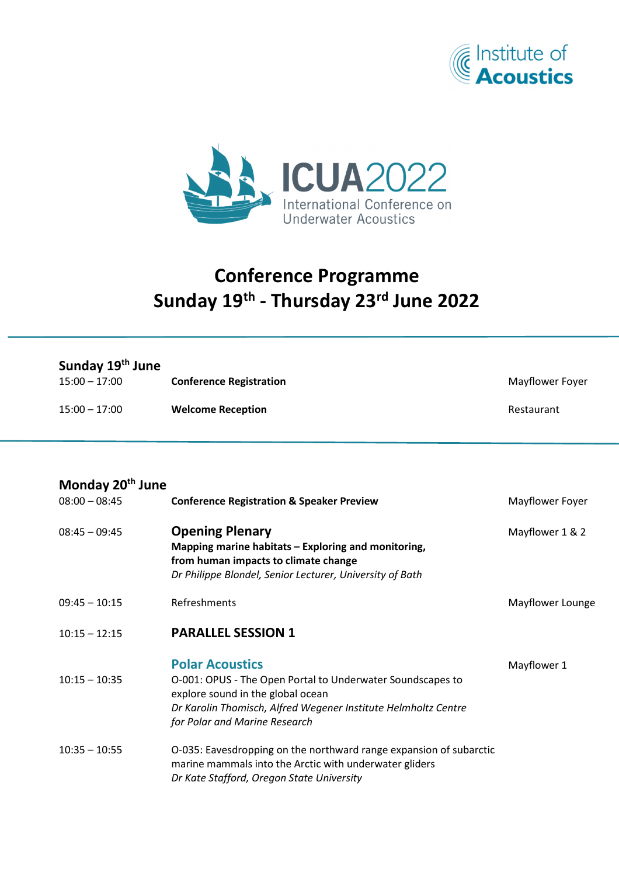



## **Conference Programme Sunday 19th - Thursday 23rd June 2022**

| Sunday 19 <sup>th</sup> June<br>$15:00 - 17:00$ | <b>Conference Registration</b> | Mayflower Foyer |
|-------------------------------------------------|--------------------------------|-----------------|
| $15:00 - 17:00$                                 | <b>Welcome Reception</b>       | Restaurant      |

| Monday 20 <sup>th</sup> June |                                                                                                                                                                                                                              |                  |  |
|------------------------------|------------------------------------------------------------------------------------------------------------------------------------------------------------------------------------------------------------------------------|------------------|--|
| $08:00 - 08:45$              | <b>Conference Registration &amp; Speaker Preview</b>                                                                                                                                                                         | Mayflower Foyer  |  |
| $08:45 - 09:45$              | <b>Opening Plenary</b><br>Mapping marine habitats - Exploring and monitoring,<br>from human impacts to climate change<br>Dr Philippe Blondel, Senior Lecturer, University of Bath                                            | Mayflower 1 & 2  |  |
| $09:45 - 10:15$              | Refreshments                                                                                                                                                                                                                 | Mayflower Lounge |  |
| $10:15 - 12:15$              | <b>PARALLEL SESSION 1</b>                                                                                                                                                                                                    |                  |  |
| $10:15 - 10:35$              | <b>Polar Acoustics</b><br>O-001: OPUS - The Open Portal to Underwater Soundscapes to<br>explore sound in the global ocean<br>Dr Karolin Thomisch, Alfred Wegener Institute Helmholtz Centre<br>for Polar and Marine Research | Mayflower 1      |  |
| $10:35 - 10:55$              | O-035: Eavesdropping on the northward range expansion of subarctic<br>marine mammals into the Arctic with underwater gliders<br>Dr Kate Stafford, Oregon State University                                                    |                  |  |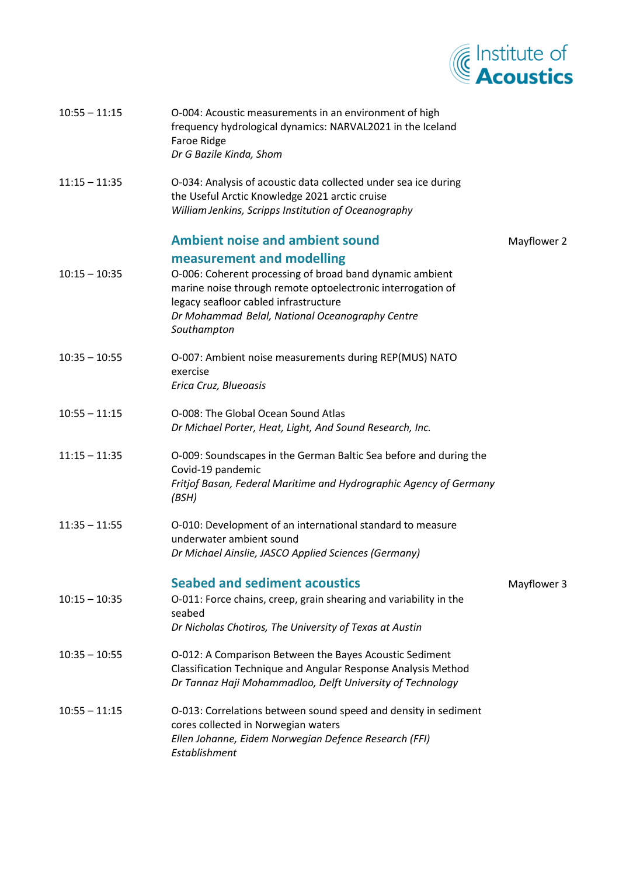

| $10:55 - 11:15$ | O-004: Acoustic measurements in an environment of high<br>frequency hydrological dynamics: NARVAL2021 in the Iceland<br>Faroe Ridge<br>Dr G Bazile Kinda, Shom                                                                                   |             |
|-----------------|--------------------------------------------------------------------------------------------------------------------------------------------------------------------------------------------------------------------------------------------------|-------------|
| $11:15 - 11:35$ | O-034: Analysis of acoustic data collected under sea ice during<br>the Useful Arctic Knowledge 2021 arctic cruise<br>William Jenkins, Scripps Institution of Oceanography                                                                        |             |
|                 | <b>Ambient noise and ambient sound</b>                                                                                                                                                                                                           | Mayflower 2 |
| $10:15 - 10:35$ | measurement and modelling<br>O-006: Coherent processing of broad band dynamic ambient<br>marine noise through remote optoelectronic interrogation of<br>legacy seafloor cabled infrastructure<br>Dr Mohammad Belal, National Oceanography Centre |             |
|                 | Southampton                                                                                                                                                                                                                                      |             |
| $10:35 - 10:55$ | O-007: Ambient noise measurements during REP(MUS) NATO<br>exercise<br>Erica Cruz, Blueoasis                                                                                                                                                      |             |
| $10:55 - 11:15$ | O-008: The Global Ocean Sound Atlas<br>Dr Michael Porter, Heat, Light, And Sound Research, Inc.                                                                                                                                                  |             |
| $11:15 - 11:35$ | O-009: Soundscapes in the German Baltic Sea before and during the<br>Covid-19 pandemic<br>Fritjof Basan, Federal Maritime and Hydrographic Agency of Germany<br>(BSH)                                                                            |             |
| $11:35 - 11:55$ | O-010: Development of an international standard to measure<br>underwater ambient sound<br>Dr Michael Ainslie, JASCO Applied Sciences (Germany)                                                                                                   |             |
|                 | <b>Seabed and sediment acoustics</b>                                                                                                                                                                                                             | Mayflower 3 |
| $10:15 - 10:35$ | O-011: Force chains, creep, grain shearing and variability in the<br>seabed<br>Dr Nicholas Chotiros, The University of Texas at Austin                                                                                                           |             |
| $10:35 - 10:55$ | O-012: A Comparison Between the Bayes Acoustic Sediment<br>Classification Technique and Angular Response Analysis Method<br>Dr Tannaz Haji Mohammadloo, Delft University of Technology                                                           |             |
| $10:55 - 11:15$ | O-013: Correlations between sound speed and density in sediment<br>cores collected in Norwegian waters<br>Ellen Johanne, Eidem Norwegian Defence Research (FFI)<br>Establishment                                                                 |             |
|                 |                                                                                                                                                                                                                                                  |             |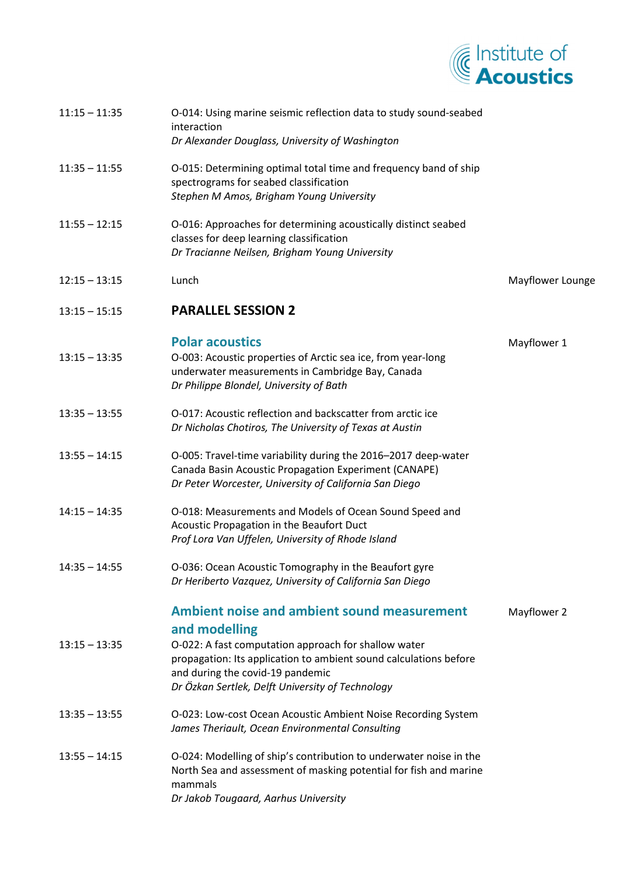

| $11:15 - 11:35$ | O-014: Using marine seismic reflection data to study sound-seabed<br>interaction<br>Dr Alexander Douglass, University of Washington                                                                                                  |                  |
|-----------------|--------------------------------------------------------------------------------------------------------------------------------------------------------------------------------------------------------------------------------------|------------------|
| $11:35 - 11:55$ | O-015: Determining optimal total time and frequency band of ship<br>spectrograms for seabed classification<br>Stephen M Amos, Brigham Young University                                                                               |                  |
| $11:55 - 12:15$ | O-016: Approaches for determining acoustically distinct seabed<br>classes for deep learning classification<br>Dr Tracianne Neilsen, Brigham Young University                                                                         |                  |
| $12:15 - 13:15$ | Lunch                                                                                                                                                                                                                                | Mayflower Lounge |
| $13:15 - 15:15$ | <b>PARALLEL SESSION 2</b>                                                                                                                                                                                                            |                  |
| $13:15 - 13:35$ | <b>Polar acoustics</b><br>O-003: Acoustic properties of Arctic sea ice, from year-long<br>underwater measurements in Cambridge Bay, Canada<br>Dr Philippe Blondel, University of Bath                                                | Mayflower 1      |
| $13:35 - 13:55$ | O-017: Acoustic reflection and backscatter from arctic ice<br>Dr Nicholas Chotiros, The University of Texas at Austin                                                                                                                |                  |
| $13:55 - 14:15$ | O-005: Travel-time variability during the 2016-2017 deep-water<br>Canada Basin Acoustic Propagation Experiment (CANAPE)<br>Dr Peter Worcester, University of California San Diego                                                    |                  |
| $14:15 - 14:35$ | O-018: Measurements and Models of Ocean Sound Speed and<br>Acoustic Propagation in the Beaufort Duct<br>Prof Lora Van Uffelen, University of Rhode Island                                                                            |                  |
| 14:35 – 14:55   | O-036: Ocean Acoustic Tomography in the Beaufort gyre<br>Dr Heriberto Vazquez, University of California San Diego                                                                                                                    |                  |
| $13:15 - 13:35$ | <b>Ambient noise and ambient sound measurement</b><br>and modelling<br>O-022: A fast computation approach for shallow water<br>propagation: Its application to ambient sound calculations before<br>and during the covid-19 pandemic | Mayflower 2      |
| $13:35 - 13:55$ | Dr Özkan Sertlek, Delft University of Technology<br>O-023: Low-cost Ocean Acoustic Ambient Noise Recording System<br>James Theriault, Ocean Environmental Consulting                                                                 |                  |
| $13:55 - 14:15$ | O-024: Modelling of ship's contribution to underwater noise in the<br>North Sea and assessment of masking potential for fish and marine<br>mammals<br>Dr Jakob Tougaard, Aarhus University                                           |                  |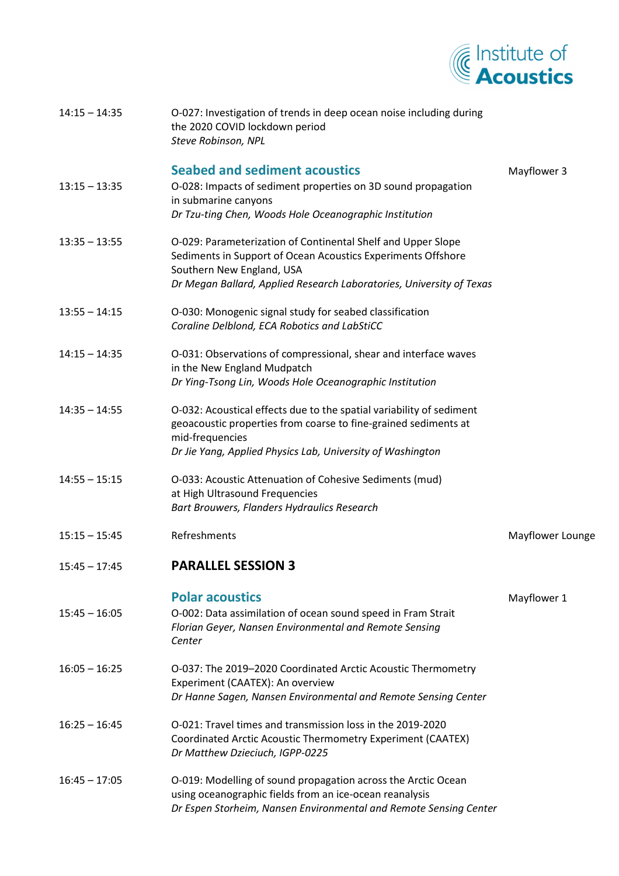

| $14:15 - 14:35$ | O-027: Investigation of trends in deep ocean noise including during<br>the 2020 COVID lockdown period<br>Steve Robinson, NPL                                                                                             |                  |
|-----------------|--------------------------------------------------------------------------------------------------------------------------------------------------------------------------------------------------------------------------|------------------|
|                 | <b>Seabed and sediment acoustics</b>                                                                                                                                                                                     | Mayflower 3      |
| $13:15 - 13:35$ | O-028: Impacts of sediment properties on 3D sound propagation<br>in submarine canyons                                                                                                                                    |                  |
|                 | Dr Tzu-ting Chen, Woods Hole Oceanographic Institution                                                                                                                                                                   |                  |
| $13:35 - 13:55$ | O-029: Parameterization of Continental Shelf and Upper Slope<br>Sediments in Support of Ocean Acoustics Experiments Offshore<br>Southern New England, USA                                                                |                  |
|                 | Dr Megan Ballard, Applied Research Laboratories, University of Texas                                                                                                                                                     |                  |
| $13:55 - 14:15$ | O-030: Monogenic signal study for seabed classification<br>Coraline Delblond, ECA Robotics and LabStiCC                                                                                                                  |                  |
| $14:15 - 14:35$ | O-031: Observations of compressional, shear and interface waves<br>in the New England Mudpatch                                                                                                                           |                  |
|                 | Dr Ying-Tsong Lin, Woods Hole Oceanographic Institution                                                                                                                                                                  |                  |
| $14:35 - 14:55$ | O-032: Acoustical effects due to the spatial variability of sediment<br>geoacoustic properties from coarse to fine-grained sediments at<br>mid-frequencies<br>Dr Jie Yang, Applied Physics Lab, University of Washington |                  |
| $14:55 - 15:15$ | O-033: Acoustic Attenuation of Cohesive Sediments (mud)<br>at High Ultrasound Frequencies<br>Bart Brouwers, Flanders Hydraulics Research                                                                                 |                  |
| $15:15 - 15:45$ | Refreshments                                                                                                                                                                                                             | Mayflower Lounge |
| $15:45 - 17:45$ | <b>PARALLEL SESSION 3</b>                                                                                                                                                                                                |                  |
| $15:45 - 16:05$ | <b>Polar acoustics</b><br>O-002: Data assimilation of ocean sound speed in Fram Strait<br>Florian Geyer, Nansen Environmental and Remote Sensing<br>Center                                                               | Mayflower 1      |
| $16:05 - 16:25$ | O-037: The 2019-2020 Coordinated Arctic Acoustic Thermometry<br>Experiment (CAATEX): An overview<br>Dr Hanne Sagen, Nansen Environmental and Remote Sensing Center                                                       |                  |
| $16:25 - 16:45$ | O-021: Travel times and transmission loss in the 2019-2020<br>Coordinated Arctic Acoustic Thermometry Experiment (CAATEX)<br>Dr Matthew Dzieciuch, IGPP-0225                                                             |                  |
| $16:45 - 17:05$ | O-019: Modelling of sound propagation across the Arctic Ocean<br>using oceanographic fields from an ice-ocean reanalysis<br>Dr Espen Storheim, Nansen Environmental and Remote Sensing Center                            |                  |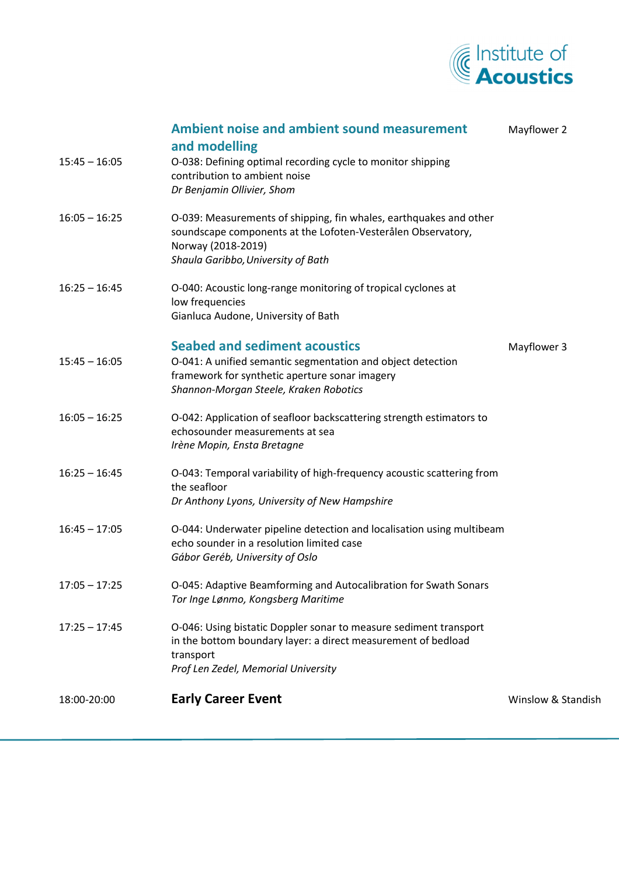

| $15:45 - 16:05$ | <b>Ambient noise and ambient sound measurement</b><br>and modelling<br>O-038: Defining optimal recording cycle to monitor shipping<br>contribution to ambient noise<br>Dr Benjamin Ollivier, Shom | Mayflower 2        |
|-----------------|---------------------------------------------------------------------------------------------------------------------------------------------------------------------------------------------------|--------------------|
| $16:05 - 16:25$ | O-039: Measurements of shipping, fin whales, earthquakes and other<br>soundscape components at the Lofoten-Vesterålen Observatory,<br>Norway (2018-2019)<br>Shaula Garibbo, University of Bath    |                    |
| $16:25 - 16:45$ | O-040: Acoustic long-range monitoring of tropical cyclones at<br>low frequencies<br>Gianluca Audone, University of Bath                                                                           |                    |
| $15:45 - 16:05$ | <b>Seabed and sediment acoustics</b><br>O-041: A unified semantic segmentation and object detection<br>framework for synthetic aperture sonar imagery<br>Shannon-Morgan Steele, Kraken Robotics   | Mayflower 3        |
| $16:05 - 16:25$ | O-042: Application of seafloor backscattering strength estimators to<br>echosounder measurements at sea<br>Irène Mopin, Ensta Bretagne                                                            |                    |
| $16:25 - 16:45$ | O-043: Temporal variability of high-frequency acoustic scattering from<br>the seafloor<br>Dr Anthony Lyons, University of New Hampshire                                                           |                    |
| $16:45 - 17:05$ | O-044: Underwater pipeline detection and localisation using multibeam<br>echo sounder in a resolution limited case<br>Gábor Geréb, University of Oslo                                             |                    |
| $17:05 - 17:25$ | O-045: Adaptive Beamforming and Autocalibration for Swath Sonars<br>Tor Inge Lønmo, Kongsberg Maritime                                                                                            |                    |
| $17:25 - 17:45$ | O-046: Using bistatic Doppler sonar to measure sediment transport<br>in the bottom boundary layer: a direct measurement of bedload<br>transport<br>Prof Len Zedel, Memorial University            |                    |
| 18:00-20:00     | <b>Early Career Event</b>                                                                                                                                                                         | Winslow & Standish |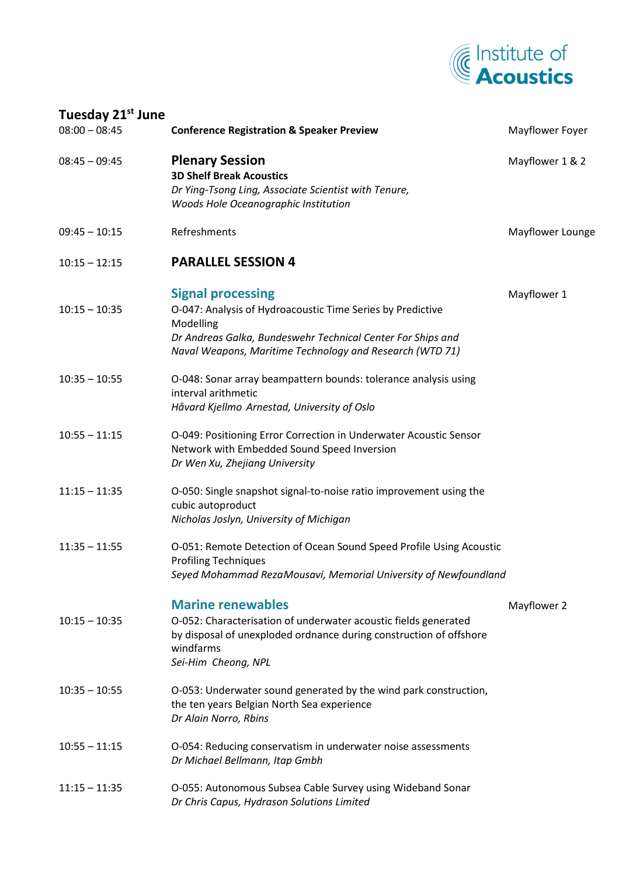

| Tuesday 21 <sup>st</sup> June |                                                                                                                                                                           |                  |
|-------------------------------|---------------------------------------------------------------------------------------------------------------------------------------------------------------------------|------------------|
| $08:00 - 08:45$               | <b>Conference Registration &amp; Speaker Preview</b>                                                                                                                      | Mayflower Foyer  |
| $08:45 - 09:45$               | <b>Plenary Session</b><br><b>3D Shelf Break Acoustics</b>                                                                                                                 | Mayflower 1 & 2  |
|                               | Dr Ying-Tsong Ling, Associate Scientist with Tenure,<br>Woods Hole Oceanographic Institution                                                                              |                  |
| $09:45 - 10:15$               | Refreshments                                                                                                                                                              | Mayflower Lounge |
| $10:15 - 12:15$               | <b>PARALLEL SESSION 4</b>                                                                                                                                                 |                  |
| $10:15 - 10:35$               | <b>Signal processing</b><br>O-047: Analysis of Hydroacoustic Time Series by Predictive                                                                                    | Mayflower 1      |
|                               | Modelling<br>Dr Andreas Galka, Bundeswehr Technical Center For Ships and<br>Naval Weapons, Maritime Technology and Research (WTD 71)                                      |                  |
| $10:35 - 10:55$               | O-048: Sonar array beampattern bounds: tolerance analysis using<br>interval arithmetic                                                                                    |                  |
|                               | Håvard Kjellmo Arnestad, University of Oslo                                                                                                                               |                  |
| $10:55 - 11:15$               | O-049: Positioning Error Correction in Underwater Acoustic Sensor<br>Network with Embedded Sound Speed Inversion<br>Dr Wen Xu, Zhejiang University                        |                  |
| $11:15 - 11:35$               | O-050: Single snapshot signal-to-noise ratio improvement using the<br>cubic autoproduct<br>Nicholas Joslyn, University of Michigan                                        |                  |
| $11:35 - 11:55$               | O-051: Remote Detection of Ocean Sound Speed Profile Using Acoustic<br><b>Profiling Techniques</b>                                                                        |                  |
|                               | Seyed Mohammad RezaMousavi, Memorial University of Newfoundland                                                                                                           |                  |
|                               | <b>Marine renewables</b>                                                                                                                                                  | Mayflower 2      |
| $10:15 - 10:35$               | O-052: Characterisation of underwater acoustic fields generated<br>by disposal of unexploded ordnance during construction of offshore<br>windfarms<br>Sei-Him Cheong, NPL |                  |
| $10:35 - 10:55$               | O-053: Underwater sound generated by the wind park construction,<br>the ten years Belgian North Sea experience<br>Dr Alain Norro, Rbins                                   |                  |
| $10:55 - 11:15$               | O-054: Reducing conservatism in underwater noise assessments<br>Dr Michael Bellmann, Itap Gmbh                                                                            |                  |
| $11:15 - 11:35$               | O-055: Autonomous Subsea Cable Survey using Wideband Sonar<br>Dr Chris Capus, Hydrason Solutions Limited                                                                  |                  |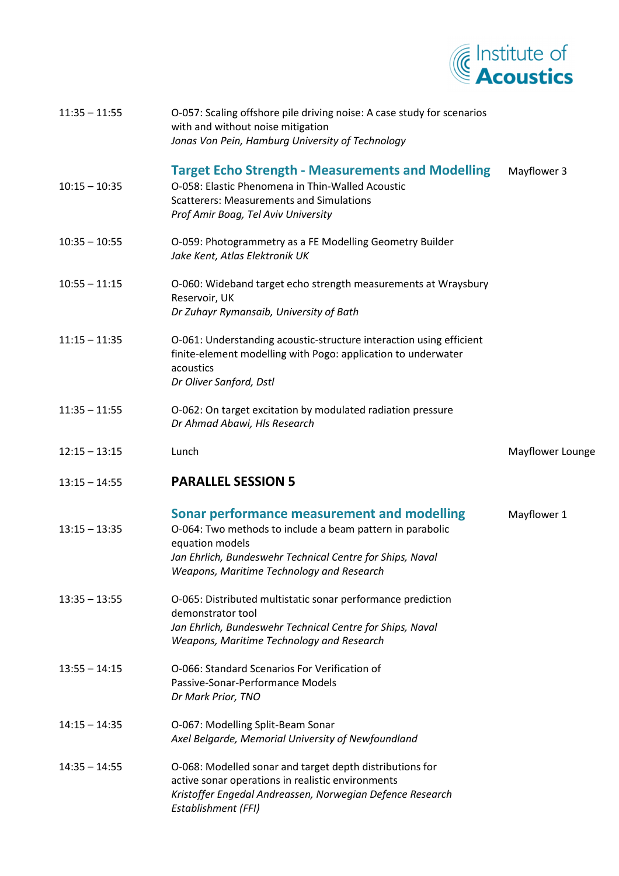

| $11:35 - 11:55$ | O-057: Scaling offshore pile driving noise: A case study for scenarios<br>with and without noise mitigation<br>Jonas Von Pein, Hamburg University of Technology                                                                              |                  |
|-----------------|----------------------------------------------------------------------------------------------------------------------------------------------------------------------------------------------------------------------------------------------|------------------|
| $10:15 - 10:35$ | <b>Target Echo Strength - Measurements and Modelling</b><br>O-058: Elastic Phenomena in Thin-Walled Acoustic<br><b>Scatterers: Measurements and Simulations</b><br>Prof Amir Boag, Tel Aviv University                                       | Mayflower 3      |
| $10:35 - 10:55$ | O-059: Photogrammetry as a FE Modelling Geometry Builder<br>Jake Kent, Atlas Elektronik UK                                                                                                                                                   |                  |
| $10:55 - 11:15$ | O-060: Wideband target echo strength measurements at Wraysbury<br>Reservoir, UK<br>Dr Zuhayr Rymansaib, University of Bath                                                                                                                   |                  |
| $11:15 - 11:35$ | O-061: Understanding acoustic-structure interaction using efficient<br>finite-element modelling with Pogo: application to underwater<br>acoustics<br>Dr Oliver Sanford, Dstl                                                                 |                  |
| $11:35 - 11:55$ | O-062: On target excitation by modulated radiation pressure<br>Dr Ahmad Abawi, Hls Research                                                                                                                                                  |                  |
| $12:15 - 13:15$ | Lunch                                                                                                                                                                                                                                        | Mayflower Lounge |
|                 |                                                                                                                                                                                                                                              |                  |
| $13:15 - 14:55$ | <b>PARALLEL SESSION 5</b>                                                                                                                                                                                                                    |                  |
| $13:15 - 13:35$ | <b>Sonar performance measurement and modelling</b><br>O-064: Two methods to include a beam pattern in parabolic<br>equation models<br>Jan Ehrlich, Bundeswehr Technical Centre for Ships, Naval<br>Weapons, Maritime Technology and Research | Mayflower 1      |
| $13:35 - 13:55$ | O-065: Distributed multistatic sonar performance prediction<br>demonstrator tool<br>Jan Ehrlich, Bundeswehr Technical Centre for Ships, Naval<br>Weapons, Maritime Technology and Research                                                   |                  |
| $13:55 - 14:15$ | O-066: Standard Scenarios For Verification of<br>Passive-Sonar-Performance Models<br>Dr Mark Prior, TNO                                                                                                                                      |                  |
| $14:15 - 14:35$ | O-067: Modelling Split-Beam Sonar<br>Axel Belgarde, Memorial University of Newfoundland                                                                                                                                                      |                  |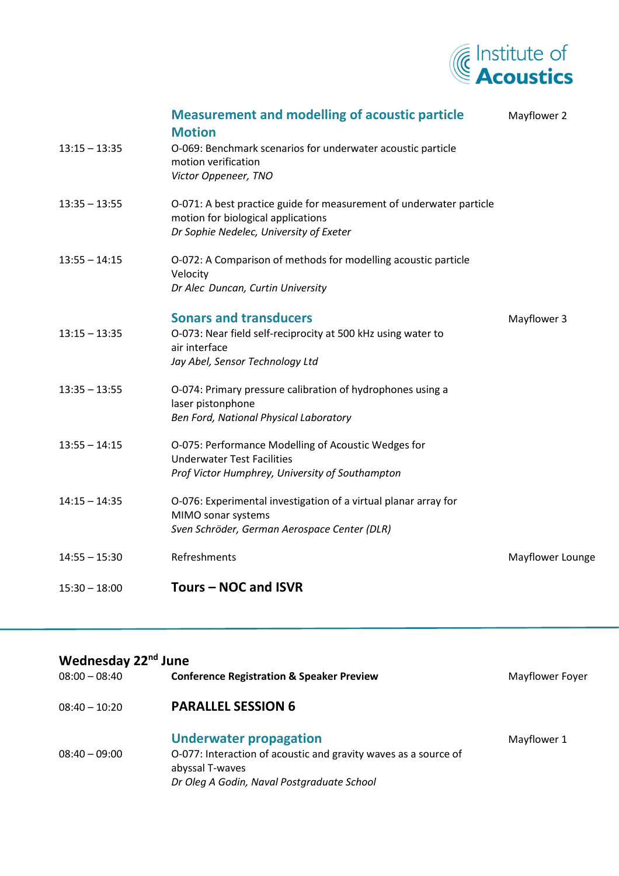

| $13:15 - 13:35$ | <b>Measurement and modelling of acoustic particle</b><br><b>Motion</b><br>O-069: Benchmark scenarios for underwater acoustic particle<br>motion verification<br>Victor Oppeneer, TNO | Mayflower 2      |
|-----------------|--------------------------------------------------------------------------------------------------------------------------------------------------------------------------------------|------------------|
| $13:35 - 13:55$ | O-071: A best practice guide for measurement of underwater particle<br>motion for biological applications<br>Dr Sophie Nedelec, University of Exeter                                 |                  |
| $13:55 - 14:15$ | O-072: A Comparison of methods for modelling acoustic particle<br>Velocity<br>Dr Alec Duncan, Curtin University                                                                      |                  |
| $13:15 - 13:35$ | <b>Sonars and transducers</b><br>O-073: Near field self-reciprocity at 500 kHz using water to<br>air interface<br>Jay Abel, Sensor Technology Ltd                                    | Mayflower 3      |
| $13:35 - 13:55$ | O-074: Primary pressure calibration of hydrophones using a<br>laser pistonphone<br>Ben Ford, National Physical Laboratory                                                            |                  |
| $13:55 - 14:15$ | O-075: Performance Modelling of Acoustic Wedges for<br><b>Underwater Test Facilities</b><br>Prof Victor Humphrey, University of Southampton                                          |                  |
| $14:15 - 14:35$ | O-076: Experimental investigation of a virtual planar array for<br>MIMO sonar systems<br>Sven Schröder, German Aerospace Center (DLR)                                                |                  |
| $14:55 - 15:30$ | Refreshments                                                                                                                                                                         | Mayflower Lounge |
| $15:30 - 18:00$ | Tours - NOC and ISVR                                                                                                                                                                 |                  |

## **Wednesday 22nd June**

| $08:00 - 08:40$ | <b>Conference Registration &amp; Speaker Preview</b>                                                                                                              | Mayflower Foyer |
|-----------------|-------------------------------------------------------------------------------------------------------------------------------------------------------------------|-----------------|
| $08:40 - 10:20$ | <b>PARALLEL SESSION 6</b>                                                                                                                                         |                 |
| $08:40 - 09:00$ | <b>Underwater propagation</b><br>O-077: Interaction of acoustic and gravity waves as a source of<br>abyssal T-waves<br>Dr Oleg A Godin, Naval Postgraduate School | Mayflower 1     |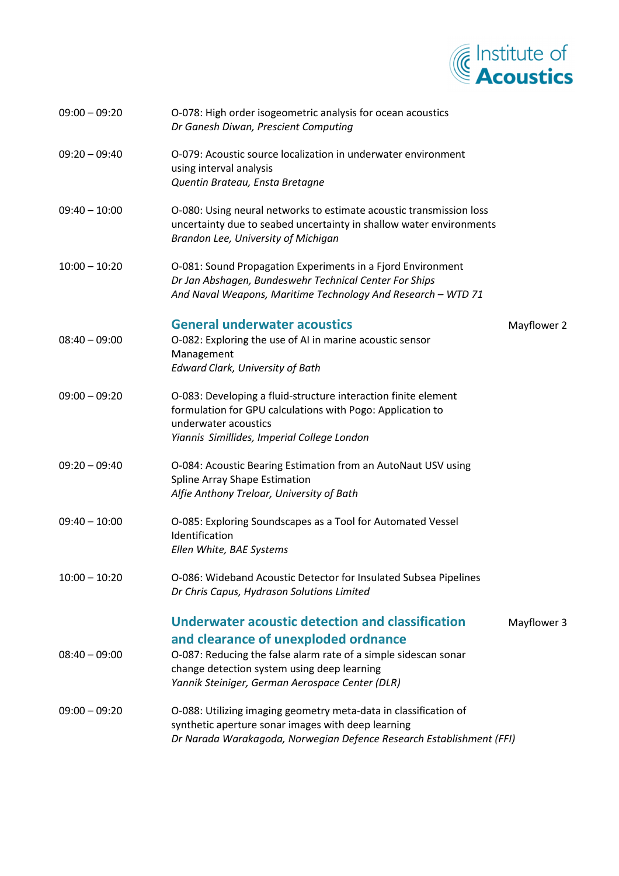

| $09:00 - 09:20$ | O-078: High order isogeometric analysis for ocean acoustics<br>Dr Ganesh Diwan, Prescient Computing                                                                                                 |             |
|-----------------|-----------------------------------------------------------------------------------------------------------------------------------------------------------------------------------------------------|-------------|
| $09:20 - 09:40$ | O-079: Acoustic source localization in underwater environment<br>using interval analysis<br>Quentin Brateau, Ensta Bretagne                                                                         |             |
| $09:40 - 10:00$ | O-080: Using neural networks to estimate acoustic transmission loss<br>uncertainty due to seabed uncertainty in shallow water environments<br>Brandon Lee, University of Michigan                   |             |
| $10:00 - 10:20$ | O-081: Sound Propagation Experiments in a Fjord Environment<br>Dr Jan Abshagen, Bundeswehr Technical Center For Ships<br>And Naval Weapons, Maritime Technology And Research - WTD 71               |             |
| $08:40 - 09:00$ | <b>General underwater acoustics</b><br>O-082: Exploring the use of AI in marine acoustic sensor<br>Management<br><b>Edward Clark, University of Bath</b>                                            | Mayflower 2 |
| $09:00 - 09:20$ | O-083: Developing a fluid-structure interaction finite element<br>formulation for GPU calculations with Pogo: Application to<br>underwater acoustics<br>Yiannis Simillides, Imperial College London |             |
| $09:20 - 09:40$ | O-084: Acoustic Bearing Estimation from an AutoNaut USV using<br>Spline Array Shape Estimation<br>Alfie Anthony Treloar, University of Bath                                                         |             |
| $09:40 - 10:00$ | O-085: Exploring Soundscapes as a Tool for Automated Vessel<br>Identification<br>Ellen White, BAE Systems                                                                                           |             |
| $10:00 - 10:20$ | O-086: Wideband Acoustic Detector for Insulated Subsea Pipelines<br>Dr Chris Capus, Hydrason Solutions Limited                                                                                      |             |
|                 | Underwater acoustic detection and classification<br>and clearance of unexploded ordnance                                                                                                            | Mayflower 3 |
| $08:40 - 09:00$ | O-087: Reducing the false alarm rate of a simple sidescan sonar<br>change detection system using deep learning<br>Yannik Steiniger, German Aerospace Center (DLR)                                   |             |
| $09:00 - 09:20$ | O-088: Utilizing imaging geometry meta-data in classification of<br>synthetic aperture sonar images with deep learning<br>Dr Narada Warakagoda, Norwegian Defence Research Establishment (FFI)      |             |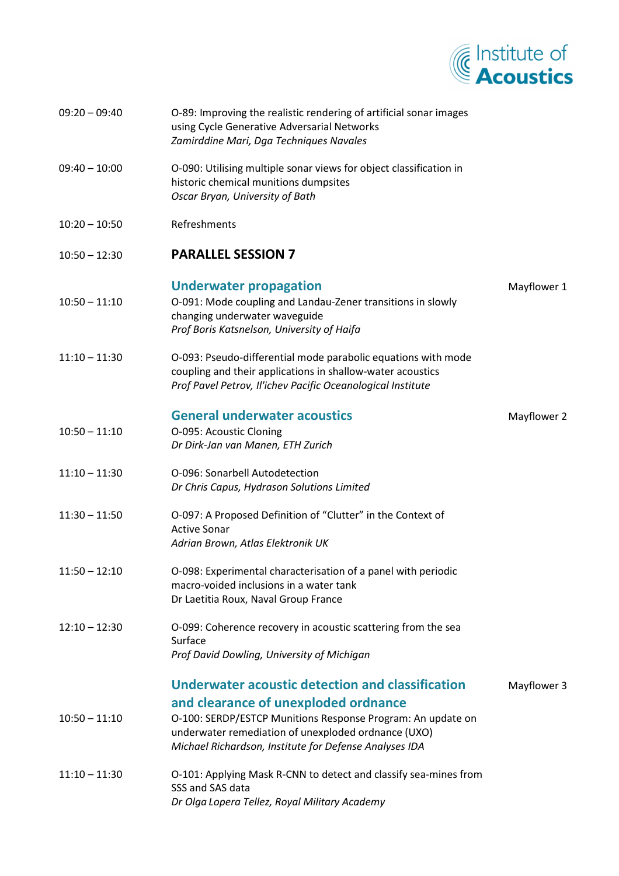

| $09:20 - 09:40$ | O-89: Improving the realistic rendering of artificial sonar images<br>using Cycle Generative Adversarial Networks<br>Zamirddine Mari, Dga Techniques Navales                                                         |             |
|-----------------|----------------------------------------------------------------------------------------------------------------------------------------------------------------------------------------------------------------------|-------------|
| $09:40 - 10:00$ | O-090: Utilising multiple sonar views for object classification in<br>historic chemical munitions dumpsites<br>Oscar Bryan, University of Bath                                                                       |             |
| $10:20 - 10:50$ | Refreshments                                                                                                                                                                                                         |             |
| $10:50 - 12:30$ | <b>PARALLEL SESSION 7</b>                                                                                                                                                                                            |             |
| $10:50 - 11:10$ | <b>Underwater propagation</b><br>O-091: Mode coupling and Landau-Zener transitions in slowly<br>changing underwater waveguide<br>Prof Boris Katsnelson, University of Haifa                                          | Mayflower 1 |
| $11:10 - 11:30$ | O-093: Pseudo-differential mode parabolic equations with mode<br>coupling and their applications in shallow-water acoustics<br>Prof Pavel Petrov, Il'ichev Pacific Oceanological Institute                           |             |
| $10:50 - 11:10$ | <b>General underwater acoustics</b><br>O-095: Acoustic Cloning<br>Dr Dirk-Jan van Manen, ETH Zurich                                                                                                                  | Mayflower 2 |
| $11:10 - 11:30$ | O-096: Sonarbell Autodetection<br>Dr Chris Capus, Hydrason Solutions Limited                                                                                                                                         |             |
| $11:30 - 11:50$ | O-097: A Proposed Definition of "Clutter" in the Context of<br><b>Active Sonar</b><br>Adrian Brown, Atlas Elektronik UK                                                                                              |             |
| $11:50 - 12:10$ | O-098: Experimental characterisation of a panel with periodic<br>macro-voided inclusions in a water tank<br>Dr Laetitia Roux, Naval Group France                                                                     |             |
| $12:10 - 12:30$ | O-099: Coherence recovery in acoustic scattering from the sea<br>Surface<br>Prof David Dowling, University of Michigan                                                                                               |             |
|                 | Underwater acoustic detection and classification                                                                                                                                                                     | Mayflower 3 |
| $10:50 - 11:10$ | and clearance of unexploded ordnance<br>O-100: SERDP/ESTCP Munitions Response Program: An update on<br>underwater remediation of unexploded ordnance (UXO)<br>Michael Richardson, Institute for Defense Analyses IDA |             |
| $11:10 - 11:30$ | O-101: Applying Mask R-CNN to detect and classify sea-mines from<br>SSS and SAS data<br>Dr Olga Lopera Tellez, Royal Military Academy                                                                                |             |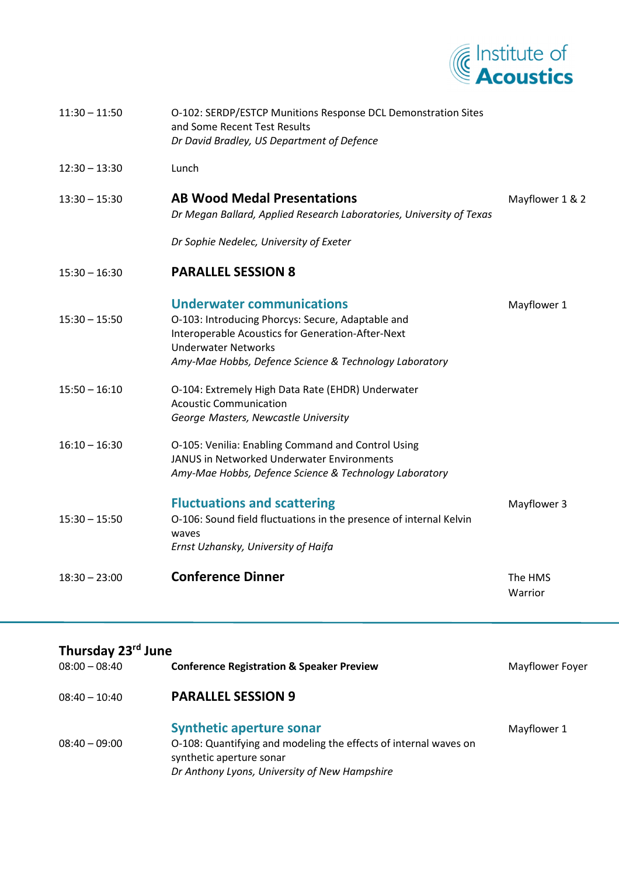

| $11:30 - 11:50$ | O-102: SERDP/ESTCP Munitions Response DCL Demonstration Sites<br>and Some Recent Test Results<br>Dr David Bradley, US Department of Defence                                                                                        |                    |
|-----------------|------------------------------------------------------------------------------------------------------------------------------------------------------------------------------------------------------------------------------------|--------------------|
| $12:30 - 13:30$ | Lunch                                                                                                                                                                                                                              |                    |
| $13:30 - 15:30$ | <b>AB Wood Medal Presentations</b><br>Dr Megan Ballard, Applied Research Laboratories, University of Texas                                                                                                                         | Mayflower 1 & 2    |
|                 | Dr Sophie Nedelec, University of Exeter                                                                                                                                                                                            |                    |
| $15:30 - 16:30$ | <b>PARALLEL SESSION 8</b>                                                                                                                                                                                                          |                    |
| $15:30 - 15:50$ | <b>Underwater communications</b><br>O-103: Introducing Phorcys: Secure, Adaptable and<br>Interoperable Acoustics for Generation-After-Next<br><b>Underwater Networks</b><br>Amy-Mae Hobbs, Defence Science & Technology Laboratory | Mayflower 1        |
| $15:50 - 16:10$ | O-104: Extremely High Data Rate (EHDR) Underwater<br><b>Acoustic Communication</b><br>George Masters, Newcastle University                                                                                                         |                    |
| $16:10 - 16:30$ | O-105: Venilia: Enabling Command and Control Using<br>JANUS in Networked Underwater Environments<br>Amy-Mae Hobbs, Defence Science & Technology Laboratory                                                                         |                    |
| $15:30 - 15:50$ | <b>Fluctuations and scattering</b><br>O-106: Sound field fluctuations in the presence of internal Kelvin<br>waves<br>Ernst Uzhansky, University of Haifa                                                                           | Mayflower 3        |
| $18:30 - 23:00$ | <b>Conference Dinner</b>                                                                                                                                                                                                           | The HMS<br>Warrior |

| Thursday 23 <sup>rd</sup> June |                                                                                                                                                                                  |                 |  |  |
|--------------------------------|----------------------------------------------------------------------------------------------------------------------------------------------------------------------------------|-----------------|--|--|
| $08:00 - 08:40$                | <b>Conference Registration &amp; Speaker Preview</b>                                                                                                                             | Mayflower Foyer |  |  |
| $08:40 - 10:40$                | <b>PARALLEL SESSION 9</b>                                                                                                                                                        |                 |  |  |
| $08:40 - 09:00$                | <b>Synthetic aperture sonar</b><br>O-108: Quantifying and modeling the effects of internal waves on<br>synthetic aperture sonar<br>Dr Anthony Lyons, University of New Hampshire | Mayflower 1     |  |  |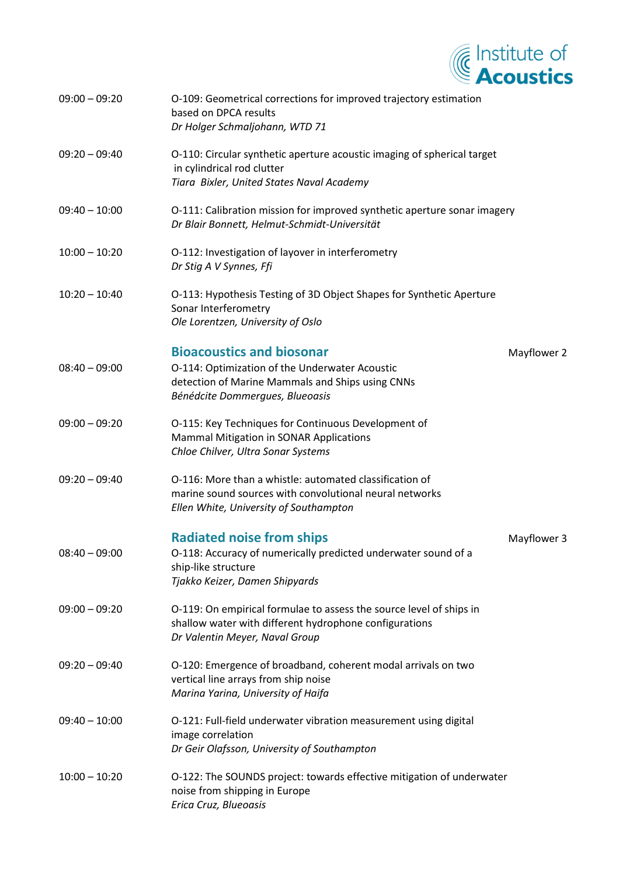

| $09:00 - 09:20$ | O-109: Geometrical corrections for improved trajectory estimation<br>based on DPCA results<br>Dr Holger Schmaljohann, WTD 71                                              |             |
|-----------------|---------------------------------------------------------------------------------------------------------------------------------------------------------------------------|-------------|
| $09:20 - 09:40$ | O-110: Circular synthetic aperture acoustic imaging of spherical target<br>in cylindrical rod clutter<br>Tiara Bixler, United States Naval Academy                        |             |
| $09:40 - 10:00$ | O-111: Calibration mission for improved synthetic aperture sonar imagery<br>Dr Blair Bonnett, Helmut-Schmidt-Universität                                                  |             |
| $10:00 - 10:20$ | O-112: Investigation of layover in interferometry<br>Dr Stig A V Synnes, Ffi                                                                                              |             |
| $10:20 - 10:40$ | O-113: Hypothesis Testing of 3D Object Shapes for Synthetic Aperture<br>Sonar Interferometry<br>Ole Lorentzen, University of Oslo                                         |             |
| $08:40 - 09:00$ | <b>Bioacoustics and biosonar</b><br>O-114: Optimization of the Underwater Acoustic<br>detection of Marine Mammals and Ships using CNNs<br>Bénédcite Dommergues, Blueoasis | Mayflower 2 |
| $09:00 - 09:20$ | O-115: Key Techniques for Continuous Development of<br><b>Mammal Mitigation in SONAR Applications</b><br>Chloe Chilver, Ultra Sonar Systems                               |             |
| $09:20 - 09:40$ | O-116: More than a whistle: automated classification of<br>marine sound sources with convolutional neural networks<br>Ellen White, University of Southampton              |             |
| $08:40 - 09:00$ | <b>Radiated noise from ships</b><br>O-118: Accuracy of numerically predicted underwater sound of a<br>ship-like structure<br>Tjakko Keizer, Damen Shipyards               | Mayflower 3 |
| $09:00 - 09:20$ | O-119: On empirical formulae to assess the source level of ships in<br>shallow water with different hydrophone configurations<br>Dr Valentin Meyer, Naval Group           |             |
| $09:20 - 09:40$ | O-120: Emergence of broadband, coherent modal arrivals on two<br>vertical line arrays from ship noise<br>Marina Yarina, University of Haifa                               |             |
| $09:40 - 10:00$ | O-121: Full-field underwater vibration measurement using digital<br>image correlation<br>Dr Geir Olafsson, University of Southampton                                      |             |
| $10:00 - 10:20$ | O-122: The SOUNDS project: towards effective mitigation of underwater<br>noise from shipping in Europe<br>Erica Cruz, Blueoasis                                           |             |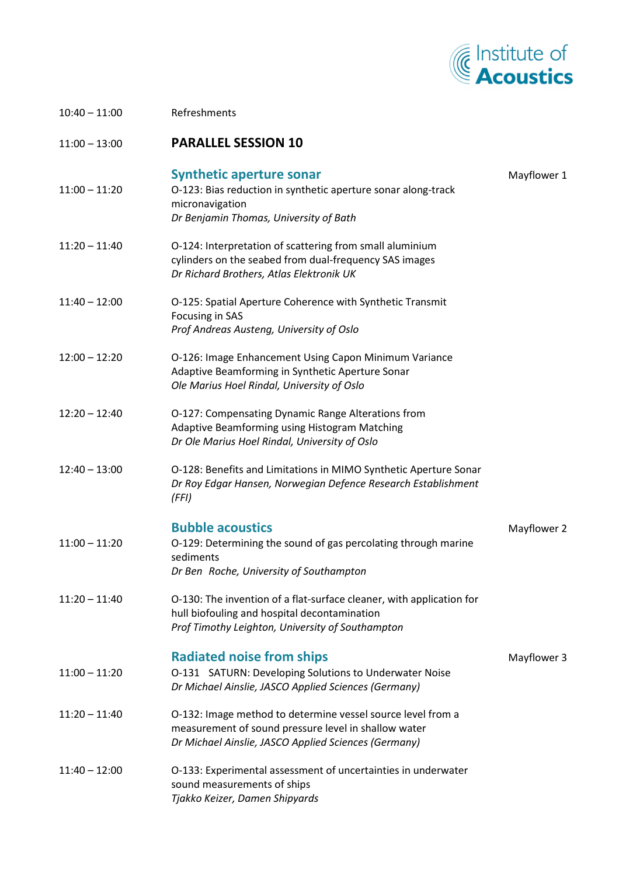

| $10:40 - 11:00$ | Refreshments                                                                                                                                                                |             |
|-----------------|-----------------------------------------------------------------------------------------------------------------------------------------------------------------------------|-------------|
| $11:00 - 13:00$ | <b>PARALLEL SESSION 10</b>                                                                                                                                                  |             |
| $11:00 - 11:20$ | <b>Synthetic aperture sonar</b><br>O-123: Bias reduction in synthetic aperture sonar along-track<br>micronavigation<br>Dr Benjamin Thomas, University of Bath               | Mayflower 1 |
| $11:20 - 11:40$ | O-124: Interpretation of scattering from small aluminium<br>cylinders on the seabed from dual-frequency SAS images<br>Dr Richard Brothers, Atlas Elektronik UK              |             |
| $11:40 - 12:00$ | O-125: Spatial Aperture Coherence with Synthetic Transmit<br>Focusing in SAS<br>Prof Andreas Austeng, University of Oslo                                                    |             |
| $12:00 - 12:20$ | O-126: Image Enhancement Using Capon Minimum Variance<br>Adaptive Beamforming in Synthetic Aperture Sonar<br>Ole Marius Hoel Rindal, University of Oslo                     |             |
| $12:20 - 12:40$ | O-127: Compensating Dynamic Range Alterations from<br>Adaptive Beamforming using Histogram Matching<br>Dr Ole Marius Hoel Rindal, University of Oslo                        |             |
| $12:40 - 13:00$ | O-128: Benefits and Limitations in MIMO Synthetic Aperture Sonar<br>Dr Roy Edgar Hansen, Norwegian Defence Research Establishment<br>(FFI)                                  |             |
|                 | <b>Bubble acoustics</b>                                                                                                                                                     | Mayflower 2 |
| $11:00 - 11:20$ | O-129: Determining the sound of gas percolating through marine<br>sediments<br>Dr Ben Roche, University of Southampton                                                      |             |
| $11:20 - 11:40$ | O-130: The invention of a flat-surface cleaner, with application for<br>hull biofouling and hospital decontamination<br>Prof Timothy Leighton, University of Southampton    |             |
| $11:00 - 11:20$ | <b>Radiated noise from ships</b><br>O-131 SATURN: Developing Solutions to Underwater Noise<br>Dr Michael Ainslie, JASCO Applied Sciences (Germany)                          | Mayflower 3 |
| $11:20 - 11:40$ | O-132: Image method to determine vessel source level from a<br>measurement of sound pressure level in shallow water<br>Dr Michael Ainslie, JASCO Applied Sciences (Germany) |             |
| $11:40 - 12:00$ | O-133: Experimental assessment of uncertainties in underwater<br>sound measurements of ships<br>Tjakko Keizer, Damen Shipyards                                              |             |